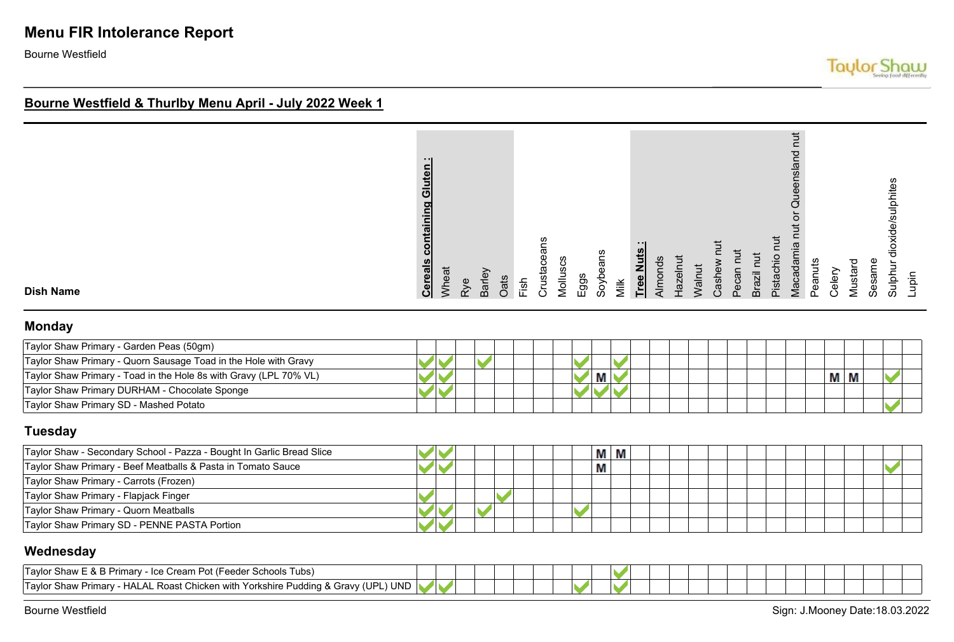# **Menu FIR Intolerance Report**

Bourne Westfield

#### **Bourne Westfield & Thurlby Menu April - July 2022 Week 1**

|  | $\blacksquare$<br>containing Gluten<br><b>Cereals</b> | Wheat | Rye | Barley | <b>Oats</b> | Fish | Crustaceans | Molluscs | $E$ ggs | Soybeans | Nilk | Tree Nuts | Almonds | Hazelnut | Walnut | Cashew nut | Pecan nut | Brazil nut | Pistachio nut | <b>TUT</b><br>Macadamia nut or Queensland | Peanuts | Celery | Mustard | Sesame | Sulphur dioxide/sulphites | Lupin |
|--|-------------------------------------------------------|-------|-----|--------|-------------|------|-------------|----------|---------|----------|------|-----------|---------|----------|--------|------------|-----------|------------|---------------|-------------------------------------------|---------|--------|---------|--------|---------------------------|-------|
|--|-------------------------------------------------------|-------|-----|--------|-------------|------|-------------|----------|---------|----------|------|-----------|---------|----------|--------|------------|-----------|------------|---------------|-------------------------------------------|---------|--------|---------|--------|---------------------------|-------|

**Dish Name**

#### **Monday**

| Taylor Shaw Primary - Garden Peas (50gm)                          |  |  |  |  |  |  |  |  |  |     |  |  |
|-------------------------------------------------------------------|--|--|--|--|--|--|--|--|--|-----|--|--|
| Taylor Shaw Primary - Quorn Sausage Toad in the Hole with Gravy   |  |  |  |  |  |  |  |  |  |     |  |  |
| Taylor Shaw Primary - Toad in the Hole 8s with Gravy (LPL 70% VL) |  |  |  |  |  |  |  |  |  | M M |  |  |
| Taylor Shaw Primary DURHAM - Chocolate Sponge                     |  |  |  |  |  |  |  |  |  |     |  |  |
| Taylor Shaw Primary SD - Mashed Potato                            |  |  |  |  |  |  |  |  |  |     |  |  |

#### **Tuesday**

| Taylor Shaw - Secondary School - Pazza - Bought In Garlic Bread Slice |  |  |  |  | M   | Μ |  |  |  |  |  |  |  |
|-----------------------------------------------------------------------|--|--|--|--|-----|---|--|--|--|--|--|--|--|
| Taylor Shaw Primary - Beef Meatballs & Pasta in Tomato Sauce          |  |  |  |  | IVІ |   |  |  |  |  |  |  |  |
| Taylor Shaw Primary - Carrots (Frozen)                                |  |  |  |  |     |   |  |  |  |  |  |  |  |
| Taylor Shaw Primary - Flapjack Finger                                 |  |  |  |  |     |   |  |  |  |  |  |  |  |
| Taylor Shaw Primary - Quorn Meatballs                                 |  |  |  |  |     |   |  |  |  |  |  |  |  |
| Taylor Shaw Primary SD - PENNE PASTA Portion                          |  |  |  |  |     |   |  |  |  |  |  |  |  |

#### **Wednesday**

| Tavlor Shaw<br><sub>−</sub> & B Primarv - Ice <sup>r</sup><br>e Cream Pot (Feeder Schools Tubs)          |  |  |  |  |  |  |  |  |  |
|----------------------------------------------------------------------------------------------------------|--|--|--|--|--|--|--|--|--|
| <b>UND</b><br>Tavlor Shav<br>(UPL)<br>- HALAL Roast Chicken with Yorkshire Pudding & Gravy ('<br>Primary |  |  |  |  |  |  |  |  |  |

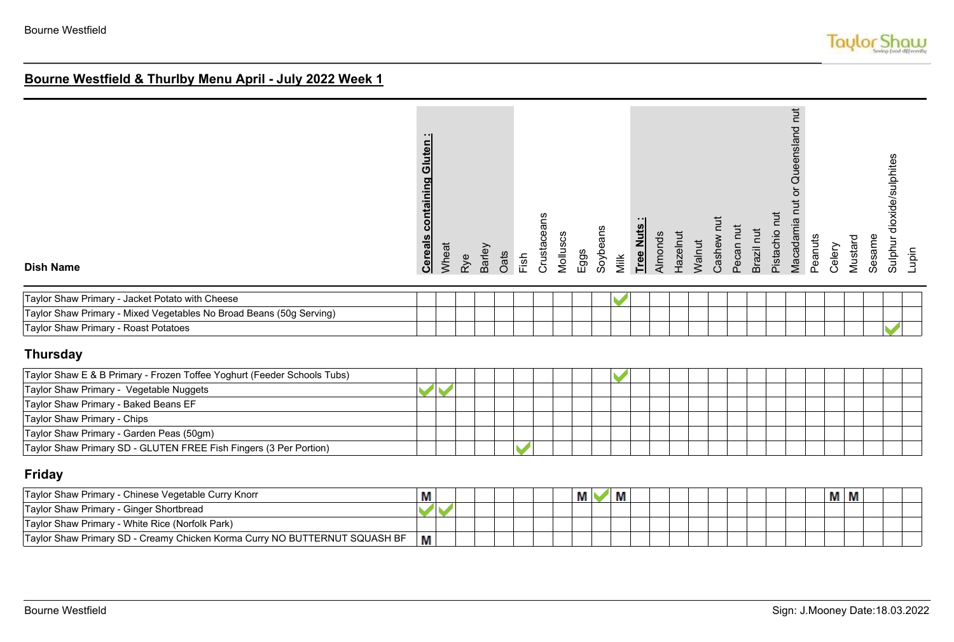| <b>Cereals containing Gluten:</b> | Wheat | Barley | Fish | Crustaceans | Molluscs | Eggs | Soybeans |      |           | Walnut  | Cashew nut | Pecan nut | Brazil nut | Pistachio nut |                                 | Celery  | Mustard |        | Lupin                     |
|-----------------------------------|-------|--------|------|-------------|----------|------|----------|------|-----------|---------|------------|-----------|------------|---------------|---------------------------------|---------|---------|--------|---------------------------|
|                                   |       |        |      |             |          |      |          |      |           |         |            |           |            |               |                                 |         |         |        |                           |
|                                   |       |        |      |             |          |      |          |      |           |         |            |           |            |               |                                 |         |         |        |                           |
|                                   |       |        |      |             |          |      |          |      |           |         |            |           |            |               |                                 |         |         |        |                           |
|                                   |       |        |      |             |          |      |          |      |           |         |            |           |            |               |                                 |         |         |        |                           |
|                                   |       |        |      |             |          |      |          |      |           |         |            |           |            |               |                                 |         |         |        |                           |
|                                   |       |        |      |             |          |      |          |      |           |         |            |           |            |               |                                 |         |         |        |                           |
|                                   |       |        |      |             |          |      |          |      |           |         |            |           |            |               |                                 |         |         |        |                           |
|                                   |       |        |      |             |          |      |          |      |           |         |            |           |            |               |                                 |         |         |        |                           |
|                                   |       |        |      |             |          |      |          |      |           |         |            |           |            |               |                                 |         |         |        |                           |
|                                   |       |        |      |             |          |      |          |      |           |         |            |           |            |               |                                 |         |         |        |                           |
|                                   |       | Rye    | Oats |             |          |      |          | Milk | Tree Nuts | Almonds | Hazelnut   |           |            |               | Macadamia nut or Queensland nut | Peanuts |         | Sesame | Sulphur dioxide/sulphites |

#### **Friday**

| Taylor Shaw Primary - Chinese Vegetable Curry Knorr                        | ш |  |  |  | М | M |  |  |  | M M |  |  |
|----------------------------------------------------------------------------|---|--|--|--|---|---|--|--|--|-----|--|--|
| Taylor Shaw Primary - Ginger Shortbread                                    |   |  |  |  |   |   |  |  |  |     |  |  |
| Taylor Shaw Primary - White Rice (Norfolk Park)                            |   |  |  |  |   |   |  |  |  |     |  |  |
| Taylor Shaw Primary SD - Creamy Chicken Korma Curry NO BUTTERNUT SQUASH BF | М |  |  |  |   |   |  |  |  |     |  |  |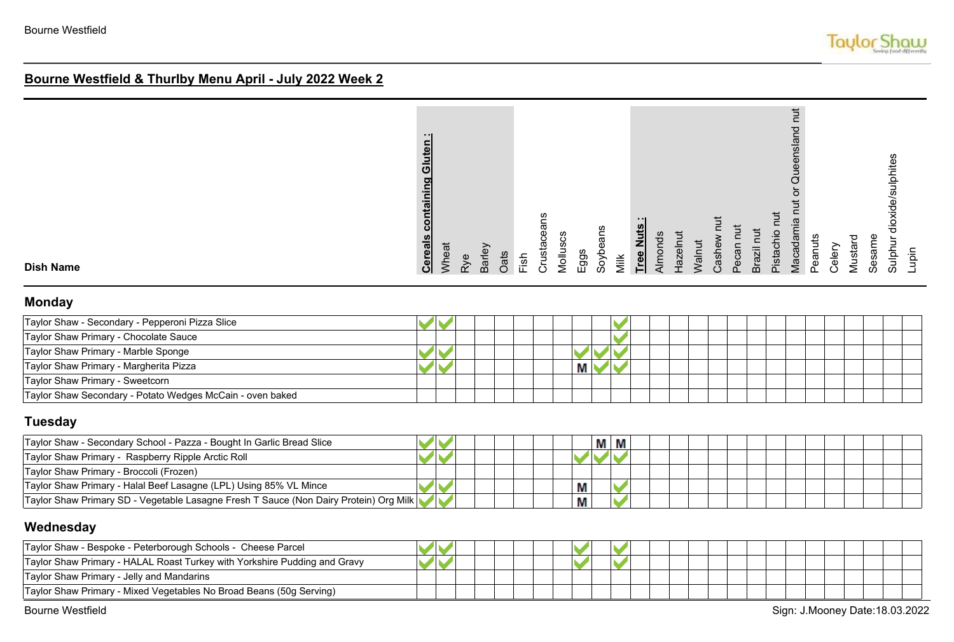| <b>Dish Name</b><br><b>Monday</b><br>Taylor Shaw - Secondary - Pepperoni Pizza Slice |                                                           | Barley<br>Rye | Oats<br>Fish |              | Mollus  | Eggs | Soyb<br>Milk | <b>Tree</b> | Almon | $rac{1}{2}$ |               |        | Pecar | Brazil | pista |                                               |         | Celery |             |       |                                  | Lupin |
|--------------------------------------------------------------------------------------|-----------------------------------------------------------|---------------|--------------|--------------|---------|------|--------------|-------------|-------|-------------|---------------|--------|-------|--------|-------|-----------------------------------------------|---------|--------|-------------|-------|----------------------------------|-------|
|                                                                                      | . .<br>⊂<br>O,<br><u>ក្នុង</u><br><b>Cereals</b><br>Wheat |               |              | ns<br>Crusta | c<br>S. |      | ans          | Ĕ           |       |             | <b>Nalnut</b> | Casher |       |        |       | $\overline{5}$<br>Queenslan<br>ഇ<br>Vlacadarr | Peanuts |        | ᅙ<br>Mustar | Sesam | ulphites<br>dioxide/su<br>Sulphu |       |

|  |  |  |  | М |  |  |  |  |  |  |
|--|--|--|--|---|--|--|--|--|--|--|
|  |  |  |  |   |  |  |  |  |  |  |
|  |  |  |  |   |  |  |  |  |  |  |
|  |  |  |  |   |  |  |  |  |  |  |

### **Tuesday**

| Taylor Shaw - Secondary School - Pazza - Bought In Garlic Bread Slice                 |  |  |   | M M |  |  |  |  |  |
|---------------------------------------------------------------------------------------|--|--|---|-----|--|--|--|--|--|
| Taylor Shaw Primary - Raspberry Ripple Arctic Roll                                    |  |  |   |     |  |  |  |  |  |
| Taylor Shaw Primary - Broccoli (Frozen)                                               |  |  |   |     |  |  |  |  |  |
| Taylor Shaw Primary - Halal Beef Lasagne (LPL) Using 85% VL Mince                     |  |  | M |     |  |  |  |  |  |
| Taylor Shaw Primary SD - Vegetable Lasagne Fresh T Sauce (Non Dairy Protein) Org Milk |  |  | M |     |  |  |  |  |  |

## **Wednesday**

| Taylor Shaw - Bespoke - Peterborough Schools - Cheese Parcel              |  |  |  |  |  |  |  |  |  |  |  |  |
|---------------------------------------------------------------------------|--|--|--|--|--|--|--|--|--|--|--|--|
| Taylor Shaw Primary - HALAL Roast Turkey with Yorkshire Pudding and Gravy |  |  |  |  |  |  |  |  |  |  |  |  |
| Taylor Shaw Primary - Jelly and Mandarins                                 |  |  |  |  |  |  |  |  |  |  |  |  |
| Taylor Shaw Primary - Mixed Vegetables No Broad Beans (50g Serving)       |  |  |  |  |  |  |  |  |  |  |  |  |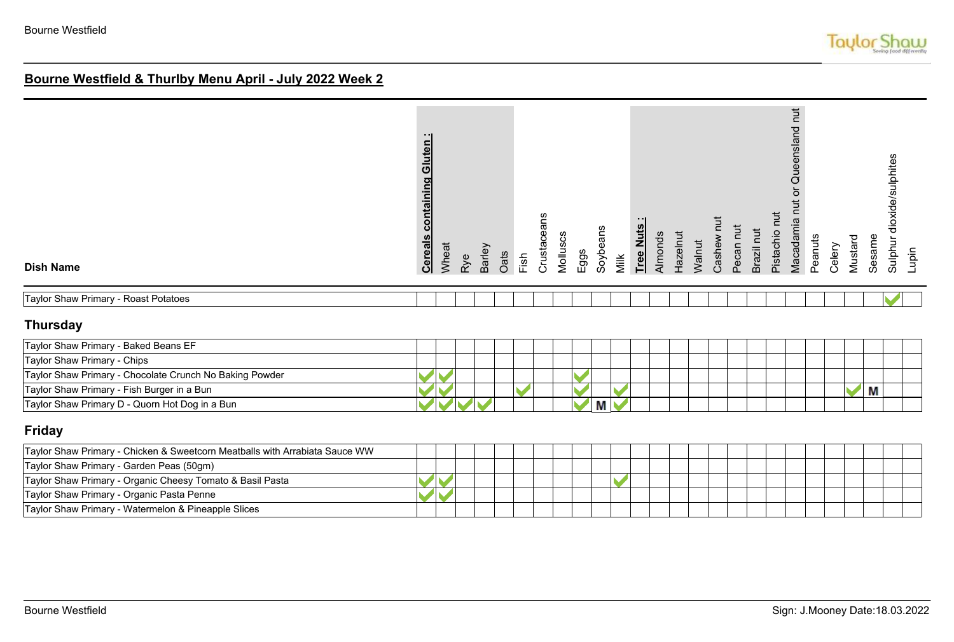| <b>Dish Name</b>                                                            | <b>Cereals containing Gluten:</b> | Wheat | Rye | Barley | Oats | Fish | Crustaceans | Molluscs | Eggs                 | Soybeans | Milk | Tree Nuts | Almonds | Hazelnut | Walnut | Cashew nut | Pecan nut | Brazil nut | Pistachio nut | Macadamia nut or Queensland nut | Peanuts | Celery | Mustard | dioxide/sulphites<br>Sesame<br>Sulphur | Lupin |
|-----------------------------------------------------------------------------|-----------------------------------|-------|-----|--------|------|------|-------------|----------|----------------------|----------|------|-----------|---------|----------|--------|------------|-----------|------------|---------------|---------------------------------|---------|--------|---------|----------------------------------------|-------|
| Taylor Shaw Primary - Roast Potatoes                                        |                                   |       |     |        |      |      |             |          |                      |          |      |           |         |          |        |            |           |            |               |                                 |         |        |         |                                        |       |
| <b>Thursday</b>                                                             |                                   |       |     |        |      |      |             |          |                      |          |      |           |         |          |        |            |           |            |               |                                 |         |        |         |                                        |       |
| Taylor Shaw Primary - Baked Beans EF                                        |                                   |       |     |        |      |      |             |          |                      |          |      |           |         |          |        |            |           |            |               |                                 |         |        |         |                                        |       |
| Taylor Shaw Primary - Chips                                                 |                                   |       |     |        |      |      |             |          |                      |          |      |           |         |          |        |            |           |            |               |                                 |         |        |         |                                        |       |
| Taylor Shaw Primary - Chocolate Crunch No Baking Powder                     |                                   |       |     |        |      |      |             |          |                      |          |      |           |         |          |        |            |           |            |               |                                 |         |        |         |                                        |       |
| Taylor Shaw Primary - Fish Burger in a Bun                                  |                                   |       |     |        |      |      |             |          |                      |          |      |           |         |          |        |            |           |            |               |                                 |         |        |         | М                                      |       |
| Taylor Shaw Primary D - Quorn Hot Dog in a Bun                              |                                   |       |     |        |      |      |             |          | $\blacktriangledown$ | М        |      |           |         |          |        |            |           |            |               |                                 |         |        |         |                                        |       |
| Friday                                                                      |                                   |       |     |        |      |      |             |          |                      |          |      |           |         |          |        |            |           |            |               |                                 |         |        |         |                                        |       |
| Taylor Shaw Primary - Chicken & Sweetcorn Meatballs with Arrabiata Sauce WW |                                   |       |     |        |      |      |             |          |                      |          |      |           |         |          |        |            |           |            |               |                                 |         |        |         |                                        |       |

| Travior Straw Primary - Chicken & Sweetcorn Meatoalis with Afrabiata Sauce VVVV |  |  |  |  |  |  |  |  |  |  |  |
|---------------------------------------------------------------------------------|--|--|--|--|--|--|--|--|--|--|--|
| Taylor Shaw Primary - Garden Peas (50gm)                                        |  |  |  |  |  |  |  |  |  |  |  |
| Taylor Shaw Primary - Organic Cheesy Tomato & Basil Pasta                       |  |  |  |  |  |  |  |  |  |  |  |
| Taylor Shaw Primary - Organic Pasta Penne                                       |  |  |  |  |  |  |  |  |  |  |  |
| Taylor Shaw Primary - Watermelon & Pineapple Slices                             |  |  |  |  |  |  |  |  |  |  |  |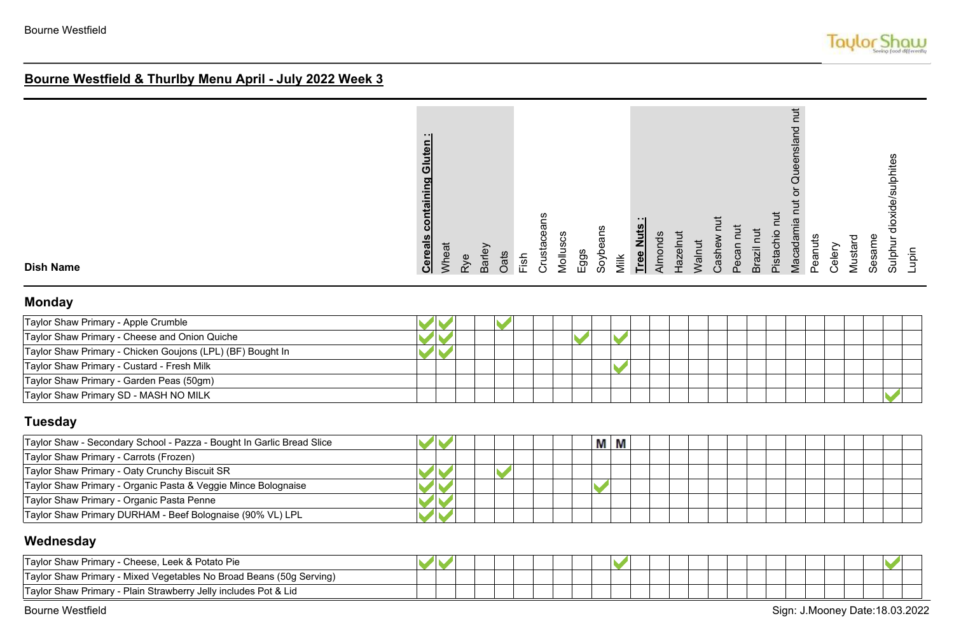| <b>Dish Name</b>                    | $\blacksquare$<br>containing Gluten<br><b>Cereals</b> | Wheat          | Rye | Barley<br>Oats | Fish | <u>၉</u><br>ق<br>Crusi | Molluscs | Eggs | Soybeans | Milk | ---<br>z<br><b>Tree</b> | Almonds | Hazelnut | Walnut | Casher | Pecan | Ξ<br>Brazil | Pistachio | $\ddot{}$<br>짇<br>ueensla<br>C<br>Vlacadami | Peanuts | Celery | ᅙ<br>Mustar | Sesam | de/sulphites<br>੶ਜ਼<br>Sulph | Lupin |
|-------------------------------------|-------------------------------------------------------|----------------|-----|----------------|------|------------------------|----------|------|----------|------|-------------------------|---------|----------|--------|--------|-------|-------------|-----------|---------------------------------------------|---------|--------|-------------|-------|------------------------------|-------|
| <b>Monday</b>                       |                                                       |                |     |                |      |                        |          |      |          |      |                         |         |          |        |        |       |             |           |                                             |         |        |             |       |                              |       |
| Taylor Shaw Primary - Annie Crumble |                                                       | $\blacksquare$ |     |                |      |                        |          |      |          |      |                         |         |          |        |        |       |             |           |                                             |         |        |             |       |                              |       |

| Taylor Shaw Primary - Apple Crumble                        |  |  |  |  |  |  |  |  |
|------------------------------------------------------------|--|--|--|--|--|--|--|--|
| Taylor Shaw Primary - Cheese and Onion Quiche              |  |  |  |  |  |  |  |  |
| Taylor Shaw Primary - Chicken Goujons (LPL) (BF) Bought In |  |  |  |  |  |  |  |  |
| Taylor Shaw Primary - Custard - Fresh Milk                 |  |  |  |  |  |  |  |  |
| Taylor Shaw Primary - Garden Peas (50gm)                   |  |  |  |  |  |  |  |  |
| Taylor Shaw Primary SD - MASH NO MILK                      |  |  |  |  |  |  |  |  |

# **Tuesday**

| Taylor Shaw - Secondary School - Pazza - Bought In Garlic Bread Slice |  |  |  |  | M M |  |  |  |  |  |  |  |
|-----------------------------------------------------------------------|--|--|--|--|-----|--|--|--|--|--|--|--|
| Taylor Shaw Primary - Carrots (Frozen)                                |  |  |  |  |     |  |  |  |  |  |  |  |
| Taylor Shaw Primary - Oaty Crunchy Biscuit SR                         |  |  |  |  |     |  |  |  |  |  |  |  |
| Taylor Shaw Primary - Organic Pasta & Veggie Mince Bolognaise         |  |  |  |  |     |  |  |  |  |  |  |  |
| Taylor Shaw Primary - Organic Pasta Penne                             |  |  |  |  |     |  |  |  |  |  |  |  |
| Taylor Shaw Primary DURHAM - Beef Bolognaise (90% VL) LPL             |  |  |  |  |     |  |  |  |  |  |  |  |

#### **Wednesday**

| - Cheese, Leek & Potato Pie<br>Taylor Shaw Primary -                              |  |  |  |  |  |  |  |  |  |  |  |
|-----------------------------------------------------------------------------------|--|--|--|--|--|--|--|--|--|--|--|
| y - Mixed Vegetables No Broad Beans (50g Serving)<br><b>Taylor Shaw Primary -</b> |  |  |  |  |  |  |  |  |  |  |  |
| Taylor Shaw Primary - Plain Strawberry Jelly includes Pot & Lid                   |  |  |  |  |  |  |  |  |  |  |  |